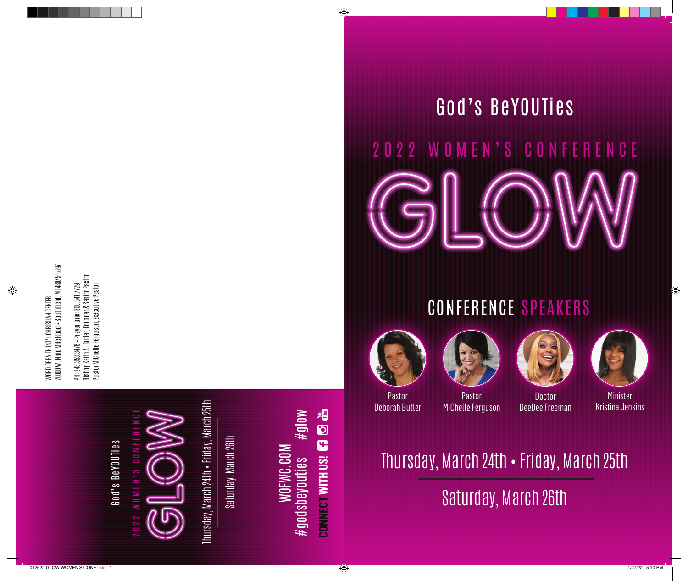WORD OF FAITH INT'L CHRISTIAN CENTER<br>20000 W. Nine Mile Road • Southfield, MI 48075•5597 20000 W. Nine Mile Road • Southfield, MI 48075-5597 WORD OF FAITH INT'L CHRISTIAN CENTER

PH: 248,333,3476 • Prayer Line: 800,541,7729<br>Bishop Keith A. Butler, Founder & Senior Pastor<br>Pastor Michelle Ferguson, Executive Pastor Bishop Keith A. Butler, Founder & Senior Pastor Pastor MiChelle Ferguson, Executive Pastor PH: 248.353.3476 • Prayer Line: 800.541.7729



Thursday, March 24th • Friday, March 25th Thursday, March 24th • Friday, March 25th

Saturday, March 26th Saturday, March 26th

**CONNECT WITH US! CO HO Lill** #glow #godsbeyouties #glow WOFWC.COM<br>#godsbeyouties **CONNECT WITH US!**

## God's BeYOUTies

# 2022 WOMEN'S CONFERENCE

### CONFERENCE SPEAKERS









Pastor Deborah Butler

Pastor MiChelle Ferguson

**Doctor** DeeDee Freeman

Minister Kristina Jenkins

Thursday, March 24th • Friday, March 25th Saturday, March 26th